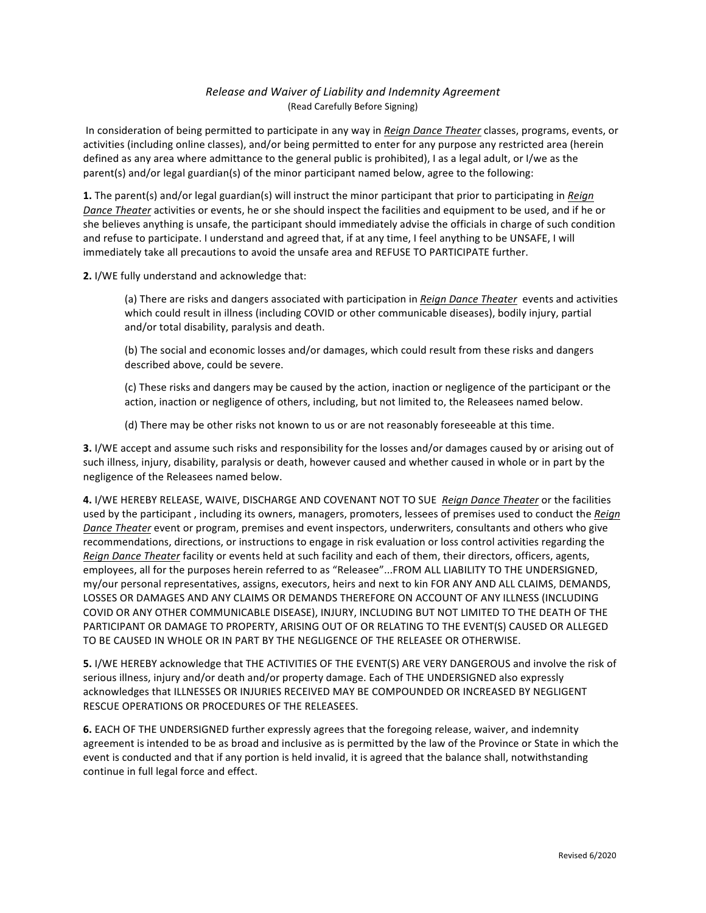## *Release and Waiver of Liability and Indemnity Agreement* (Read Carefully Before Signing)

In consideration of being permitted to participate in any way in *Reign Dance Theater* classes, programs, events, or activities (including online classes), and/or being permitted to enter for any purpose any restricted area (herein defined as any area where admittance to the general public is prohibited), I as a legal adult, or I/we as the parent(s) and/or legal guardian(s) of the minor participant named below, agree to the following:

**1.** The parent(s) and/or legal guardian(s) will instruct the minor participant that prior to participating in *Reign Dance Theater* activities or events, he or she should inspect the facilities and equipment to be used, and if he or she believes anything is unsafe, the participant should immediately advise the officials in charge of such condition and refuse to participate. I understand and agreed that, if at any time, I feel anything to be UNSAFE, I will immediately take all precautions to avoid the unsafe area and REFUSE TO PARTICIPATE further.

**2.** I/WE fully understand and acknowledge that:

(a) There are risks and dangers associated with participation in Reign Dance Theater events and activities which could result in illness (including COVID or other communicable diseases), bodily injury, partial and/or total disability, paralysis and death.

(b) The social and economic losses and/or damages, which could result from these risks and dangers described above, could be severe.

(c) These risks and dangers may be caused by the action, inaction or negligence of the participant or the action, inaction or negligence of others, including, but not limited to, the Releasees named below.

(d) There may be other risks not known to us or are not reasonably foreseeable at this time.

**3.** I/WE accept and assume such risks and responsibility for the losses and/or damages caused by or arising out of such illness, injury, disability, paralysis or death, however caused and whether caused in whole or in part by the negligence of the Releasees named below.

4. I/WE HEREBY RELEASE, WAIVE, DISCHARGE AND COVENANT NOT TO SUE Reign Dance Theater or the facilities used by the participant, including its owners, managers, promoters, lessees of premises used to conduct the *Reign Dance Theater* event or program, premises and event inspectors, underwriters, consultants and others who give recommendations, directions, or instructions to engage in risk evaluation or loss control activities regarding the *Reign Dance Theater* facility or events held at such facility and each of them, their directors, officers, agents, employees, all for the purposes herein referred to as "Releasee"...FROM ALL LIABILITY TO THE UNDERSIGNED, my/our personal representatives, assigns, executors, heirs and next to kin FOR ANY AND ALL CLAIMS, DEMANDS, LOSSES OR DAMAGES AND ANY CLAIMS OR DEMANDS THEREFORE ON ACCOUNT OF ANY ILLNESS (INCLUDING COVID OR ANY OTHER COMMUNICABLE DISEASE), INJURY, INCLUDING BUT NOT LIMITED TO THE DEATH OF THE PARTICIPANT OR DAMAGE TO PROPERTY, ARISING OUT OF OR RELATING TO THE EVENT(S) CAUSED OR ALLEGED TO BE CAUSED IN WHOLE OR IN PART BY THE NEGLIGENCE OF THE RELEASEE OR OTHERWISE.

**5.** I/WE HEREBY acknowledge that THE ACTIVITIES OF THE EVENT(S) ARE VERY DANGEROUS and involve the risk of serious illness, injury and/or death and/or property damage. Each of THE UNDERSIGNED also expressly acknowledges that ILLNESSES OR INJURIES RECEIVED MAY BE COMPOUNDED OR INCREASED BY NEGLIGENT RESCUE OPERATIONS OR PROCEDURES OF THE RELEASEES.

**6.** EACH OF THE UNDERSIGNED further expressly agrees that the foregoing release, waiver, and indemnity agreement is intended to be as broad and inclusive as is permitted by the law of the Province or State in which the event is conducted and that if any portion is held invalid, it is agreed that the balance shall, notwithstanding continue in full legal force and effect.